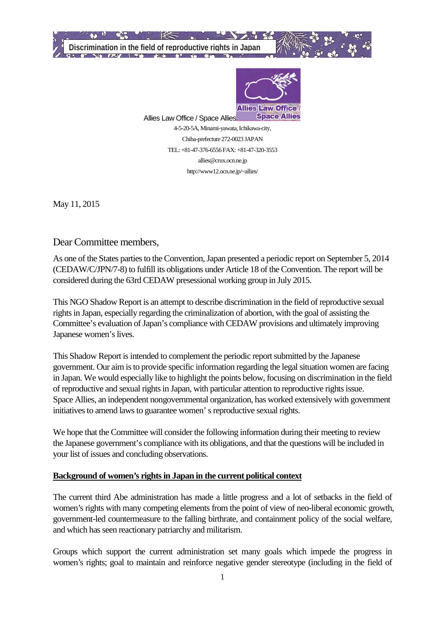

Allies Law Office / Space Allies 4-5-20-5A, Minami-yawata, Ichikawa-city, Chiba-prefecture 272-0023 JAPAN TEL: +81-47-376-6556 FAX: +81-47-320-3553 allies@crux.ocn.ne.jp http://www12.ocn.ne.jp/~allies/

May 11, 2015

Dear Committee members,

As one of the States parties to the Convention, Japan presented a periodic report on September 5, 2014 (CEDAW/C/JPN/7-8) to fulfill its obligations under Article 18 of the Convention. The report will be considered during the 63rd CEDAW presessional working group in July 2015.

This NGO Shadow Report is an attempt to describe discrimination in the field of reproductive sexual rights in Japan, especially regarding the criminalization of abortion, with the goal of assisting the Committee's evaluation of Japan's compliance with CEDAW provisions and ultimately improving Japanese women's lives.

This Shadow Report is intended to complement the periodic report submitted by the Japanese government. Our aim is to provide specific information regarding the legal situation women are facing in Japan. We would especially like to highlight the points below, focusing on discrimination in the field of reproductive and sexual rights in Japan, with particular attention to reproductive rights issue. Space Allies, an independent nongovernmental organization, has worked extensively with government initiatives to amend laws to guarantee women's reproductive sexual rights.

We hope that the Committee will consider the following information during their meeting to review the Japanese government's compliance with its obligations, and that the questions will be included in your list of issues and concluding observations.

#### **Background of women's rights in Japan in the current political context**

The current third Abe administration has made a little progress and a lot of setbacks in the field of women's rights with many competing elements from the point of view of neo-liberal economic growth, government-led countermeasure to the falling birthrate, and containment policy of the social welfare, and which has seen reactionary patriarchy and militarism.

Groups which support the current administration set many goals which impede the progress in women's rights; goal to maintain and reinforce negative gender stereotype (including in the field of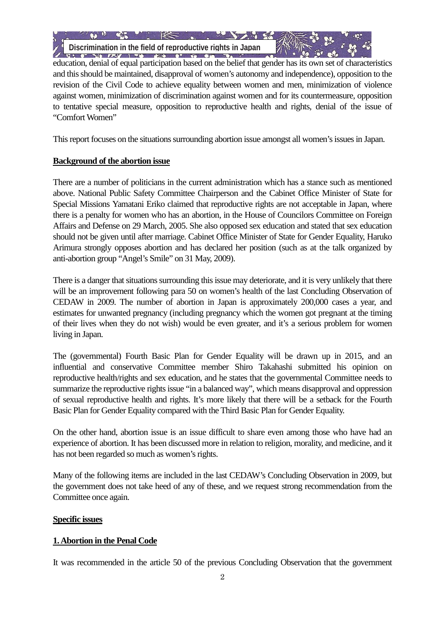**Discrimination in the field of reproductive rights in Japan**

 education, denial of equal participation based on the belief that gender has its own set of characteristics and this should be maintained, disapproval of women's autonomy and independence), opposition to the revision of the Civil Code to achieve equality between women and men, minimization of violence against women, minimization of discrimination against women and for its countermeasure, opposition to tentative special measure, opposition to reproductive health and rights, denial of the issue of "Comfort Women"

This report focuses on the situations surrounding abortion issue amongst all women's issues in Japan.

### **Background of the abortion issue**

There are a number of politicians in the current administration which has a stance such as mentioned above. National Public Safety Committee Chairperson and the Cabinet Office Minister of State for Special Missions Yamatani Eriko claimed that reproductive rights are not acceptable in Japan, where there is a penalty for women who has an abortion, in the House of Councilors Committee on Foreign Affairs and Defense on 29 March, 2005. She also opposed sex education and stated that sex education should not be given until after marriage. Cabinet Office Minister of State for Gender Equality, Haruko Arimura strongly opposes abortion and has declared her position (such as at the talk organized by anti-abortion group "Angel's Smile" on 31 May, 2009).

There is a danger that situations surrounding this issue may deteriorate, and it is very unlikely that there will be an improvement following para 50 on women's health of the last Concluding Observation of CEDAW in 2009. The number of abortion in Japan is approximately 200,000 cases a year, and estimates for unwanted pregnancy (including pregnancy which the women got pregnant at the timing of their lives when they do not wish) would be even greater, and it's a serious problem for women living in Japan.

The (governmental) Fourth Basic Plan for Gender Equality will be drawn up in 2015, and an influential and conservative Committee member Shiro Takahashi submitted his opinion on reproductive health/rights and sex education, and he states that the governmental Committee needs to summarize the reproductive rights issue "in a balanced way", which means disapproval and oppression of sexual reproductive health and rights. It's more likely that there will be a setback for the Fourth Basic Plan for Gender Equality compared with the Third Basic Plan for Gender Equality.

On the other hand, abortion issue is an issue difficult to share even among those who have had an experience of abortion. It has been discussed more in relation to religion, morality, and medicine, and it has not been regarded so much as women's rights.

Many of the following items are included in the last CEDAW's Concluding Observation in 2009, but the government does not take heed of any of these, and we request strong recommendation from the Committee once again.

#### **Specific issues**

## **1. Abortion in the Penal Code**

It was recommended in the article 50 of the previous Concluding Observation that the government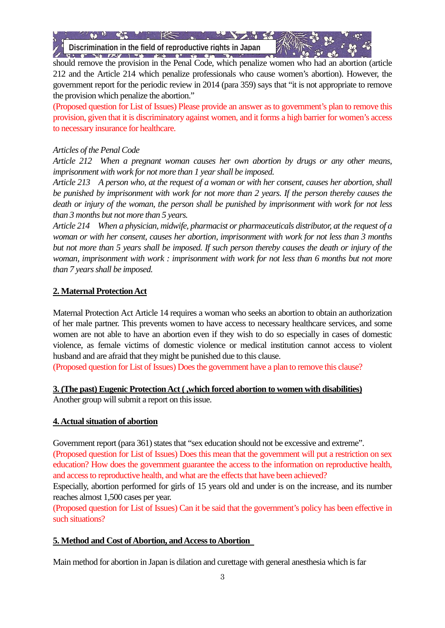**Discrimination in the field of reproductive rights in Japan**

 should remove the provision in the Penal Code, which penalize women who had an abortion (article 212 and the Article 214 which penalize professionals who cause women's abortion). However, the government report for the periodic review in 2014 (para 359) says that "it is not appropriate to remove the provision which penalize the abortion."

(Proposed question for List of Issues) Please provide an answer as to government's plan to remove this provision, given that it is discriminatory against women, and it forms a high barrier for women's access to necessary insurance for healthcare.

# *Articles of the Penal Code*

*Article 212 When a pregnant woman causes her own abortion by drugs or any other means, imprisonment with work for not more than 1 year shall be imposed.*

*Article 213 A person who, at the request of a woman or with her consent, causes her abortion, shall be punished by imprisonment with work for not more than 2 years. If the person thereby causes the death or injury of the woman, the person shall be punished by imprisonment with work for not less than 3 months but not more than 5 years.*

*Article 214 When a physician, midwife, pharmacist or pharmaceuticals distributor, at the request of a woman or with her consent, causes her abortion, imprisonment with work for not less than 3 months but not more than 5 years shall be imposed. If such person thereby causes the death or injury of the woman, imprisonment with work : imprisonment with work for not less than 6 months but not more than 7 years shall be imposed.*

# **2. Maternal Protection Act**

Maternal Protection Act Article 14 requires a woman who seeks an abortion to obtain an authorization of her male partner. This prevents women to have access to necessary healthcare services, and some women are not able to have an abortion even if they wish to do so especially in cases of domestic violence, as female victims of domestic violence or medical institution cannot access to violent husband and are afraid that they might be punished due to this clause.

(Proposed question for List of Issues) Does the government have a plan to remove this clause?

## **3. (The past) Eugenic Protection Act ( ,which forced abortion to women with disabilities)**

Another group will submit a report on this issue.

## **4. Actual situation of abortion**

Government report (para 361) states that "sex education should not be excessive and extreme".

(Proposed question for List of Issues) Does this mean that the government will put a restriction on sex education? How does the government guarantee the access to the information on reproductive health, and access to reproductive health, and what are the effects that have been achieved?

Especially, abortion performed for girls of 15 years old and under is on the increase, and its number reaches almost 1,500 cases per year.

(Proposed question for List of Issues) Can it be said that the government's policy has been effective in such situations?

## **5. Method and Cost of Abortion, and Access to Abortion**

Main method for abortion in Japan is dilation and curettage with general anesthesia which is far